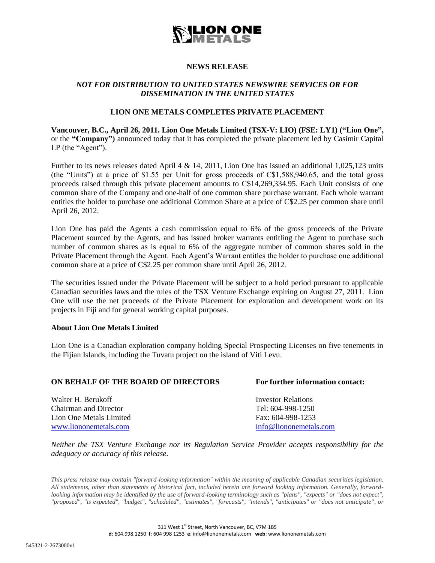

# **NEWS RELEASE**

## *NOT FOR DISTRIBUTION TO UNITED STATES NEWSWIRE SERVICES OR FOR DISSEMINATION IN THE UNITED STATES*

### **LION ONE METALS COMPLETES PRIVATE PLACEMENT**

**Vancouver, B.C., April 26, 2011. Lion One Metals Limited (TSX-V: LIO) (FSE: LY1) ("Lion One",**  or the **"Company")** announced today that it has completed the private placement led by Casimir Capital LP (the "Agent").

Further to its news releases dated April 4 & 14, 2011, Lion One has issued an additional 1,025,123 units (the "Units") at a price of \$1.55 per Unit for gross proceeds of C\$1,588,940.65, and the total gross proceeds raised through this private placement amounts to C\$14,269,334.95. Each Unit consists of one common share of the Company and one-half of one common share purchase warrant. Each whole warrant entitles the holder to purchase one additional Common Share at a price of C\$2.25 per common share until April 26, 2012.

Lion One has paid the Agents a cash commission equal to 6% of the gross proceeds of the Private Placement sourced by the Agents, and has issued broker warrants entitling the Agent to purchase such number of common shares as is equal to 6% of the aggregate number of common shares sold in the Private Placement through the Agent. Each Agent's Warrant entitles the holder to purchase one additional common share at a price of C\$2.25 per common share until April 26, 2012.

The securities issued under the Private Placement will be subject to a hold period pursuant to applicable Canadian securities laws and the rules of the TSX Venture Exchange expiring on August 27, 2011. Lion One will use the net proceeds of the Private Placement for exploration and development work on its projects in Fiji and for general working capital purposes.

#### **About Lion One Metals Limited**

Lion One is a Canadian exploration company holding Special Prospecting Licenses on five tenements in the Fijian Islands, including the Tuvatu project on the island of Viti Levu.

#### **ON BEHALF OF THE BOARD OF DIRECTORS For further information contact:**

Walter H. Berukoff **Investor Relations Investor Relations** Chairman and Director Tel: 604-998-1250 Lion One Metals Limited Fax: 604-998-1253<br>www.liononemetals.com info@liononemetals

info@liononemetals.com

*Neither the TSX Venture Exchange nor its Regulation Service Provider accepts responsibility for the adequacy or accuracy of this release.*

*This press release may contain "forward-looking information" within the meaning of applicable Canadian securities legislation. All statements, other than statements of historical fact, included herein are forward looking information. Generally, forwardlooking information may be identified by the use of forward-looking terminology such as "plans", "expects" or "does not expect", "proposed", "is expected", "budget", "scheduled", "estimates", "forecasts", "intends", "anticipates" or "does not anticipate", or*